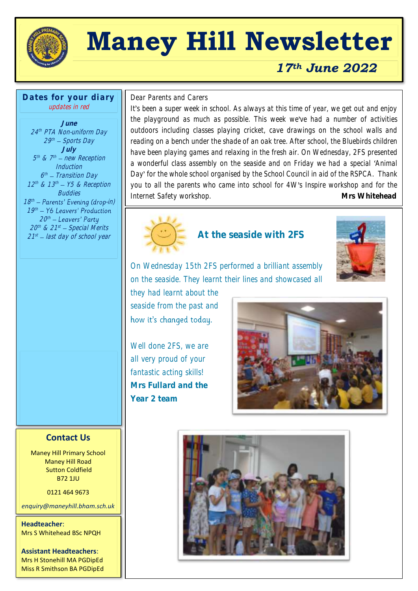

# **Maney Hill Newsletter**

# *17th June 2022*

**Dates for your diary** updates in red

**June** 24 th PTA Non-uniform Day 29th — Sports Day **July** 5<sup>th</sup> & 7<sup>th</sup> – new Reception **Induction** 6<sup>th</sup> – Transition Day  $12^{th}$  &  $13^{th}$  –  $Y5$  & Reception **Buddies** 18<sup>th</sup> – Parents' Evening (drop-in)  $19<sup>th</sup>$ 20th 20th & 21st — Special Merits 21<sup>st</sup> – last day of school year

 $\overline{a}$ Dear Parents and Carers

It's been a super week in school. As always at this time of year, we get out and enjoy the playground as much as possible. This week we've had a number of activities outdoors including classes playing cricket, cave drawings on the school walls and reading on a bench under the shade of an oak tree. After school, the Bluebirds children have been playing games and relaxing in the fresh air. On Wednesday, 2FS presented a wonderful class assembly on the seaside and on Friday we had a special 'Animal Day' for the whole school organised by the School Council in aid of the RSPCA. Thank you to all the parents who came into school for 4W's Inspire workshop and for the Internet Safety workshop. **Mrs Whitehead** 



### **At the seaside with 2FS**



On Wednesday 15th 2FS performed a brilliant assembly on the seaside. They learnt their lines and showcased all

they had learnt about the seaside from the past and how it's changed today.

Well done 2FS, we are all very proud of your fantastic acting skills! **Mrs Fullard and the Year 2 team**



### **Contact Us**

Maney Hill Primary School Maney Hill Road Sutton Coldfield B72 1JU

0121 464 9673

*enquiry@maneyhill.bham.sch.uk*

**Headteacher**: Mrs S Whitehead BSc NPQH

**Assistant Headteachers**: Mrs H Stonehill MA PGDipEd Miss R Smithson BA PGDipEd

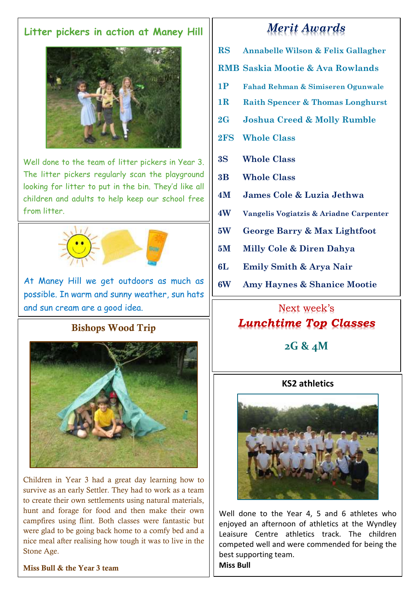## **Litter pickers in action at Maney Hill**



Well done to the team of litter pickers in Year 3. The litter pickers regularly scan the playground looking for litter to put in the bin. They'd like all children and adults to help keep our school free from litter.



At Maney Hill we get outdoors as much as possible. In warm and sunny weather, sun hats and sun cream are a good idea.

## Bishops Wood Trip



Children in Year 3 had a great day learning how to survive as an early Settler. They had to work as a team to create their own settlements using natural materials, hunt and forage for food and then make their own campfires using flint. Both classes were fantastic but were glad to be going back home to a comfy bed and a nice meal after realising how tough it was to live in the Stone Age.

#### Miss Bull & the Year 3 team

# *Merit Awards*

- **RS Annabelle Wilson & Felix Gallagher**
- **RMB Saskia Mootie & Ava Rowlands**
- **1P Fahad Rehman & Simiseren Ogunwale**
- **1R Raith Spencer & Thomas Longhurst**
- **2G Joshua Creed & Molly Rumble**
- **2FS Whole Class**
- **3S Whole Class**
- **3B Whole Class**
- **4M James Cole & Luzia Jethwa**
- **4W Vangelis Vogiatzis & Ariadne Carpenter**
- **5W George Barry & Max Lightfoot**
- **5M Milly Cole & Diren Dahya**
- **6L Emily Smith & Arya Nair**
- **6W Amy Haynes & Shanice Mootie**

# Next week's *Lunchtime Top Classes*

**2G & 4M**

## **KS2 athletics**



Well done to the Year 4, 5 and 6 athletes who enjoyed an afternoon of athletics at the Wyndley Leaisure Centre athletics track. The children competed well and were commended for being the best supporting team.

**Miss Bull**